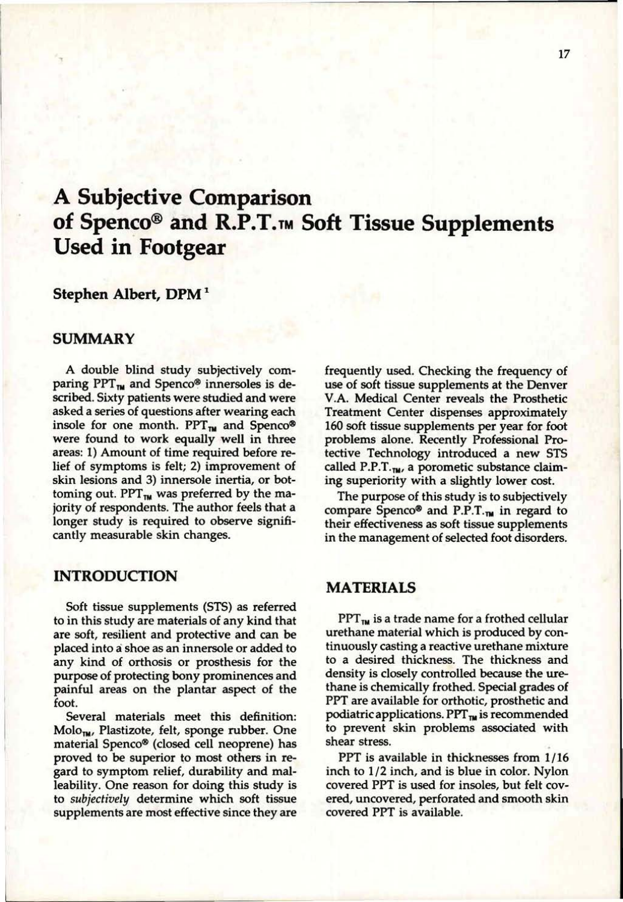# **A Subjective Comparison of Spenco® and R.P.T.T <sup>M</sup> Soft Tissue Supplements Used in Footgear**

# **Stephen Albert, DPM<sup>1</sup>**

## **SUMMARY**

A double blind study subjectively comparing  $PPT_{\text{TM}}$  and Spenco® innersoles is described. Sixty patients were studied and were asked a series of questions after wearing each insole for one month.  $PPT_{TM}$  and Spenco® were found to work equally well in three areas: 1) Amount of time required before relief of symptoms is felt; 2) improvement of skin lesions and 3) innersole inertia, or bottoming out. PPT $_{\text{TM}}$  was preferred by the majority of respondents. The author feels that a longer study is required to observe significantly measurable skin changes.

## **INTRODUCTION**

Soft tissue supplements (STS) as referred to in this study are materials of any kind that are soft, resilient **and** protective and can be placed **into** a shoe as an innersole or added to any kind of orthosis or prosthesis for the purpose of protecting bony prominences and painful areas **on** the plantar aspect of the foot.

Several materials meet this definition: Molo<sub>m</sub>, Plastizote, felt, sponge rubber. One material Spenco® (closed cell neoprene) has proved to be superior to most others in regard to symptom relief, durability and malleability. One reason for doing this study is to *subjectively* determine which soft tissue supplements are most effective since they are frequently used. Checking the frequency of use of soft tissue supplements at the Denver V.A. Medical Center reveals the Prosthetic Treatment Center dispenses approximately 160 soft tissue supplements per year for foot problems alone. Recently Professional Protective Technology introduced a new STS called P.P.T. $_{\text{TM}}$ , a porometic substance claiming superiority with a slightly lower cost.

The purpose of this study is to subjectively compare Spenco® and P.P.T. $_m$  in regard to their effectiveness as soft tissue supplements in the management of selected foot disorders.

## **MATERIALS**

 $PPT_{\text{TM}}$  is a trade name for a frothed cellular urethane material which is produced by continuously casting a reactive urethane mixture to a desired thickness. The thickness and density is closely controlled because the urethane is chemically frothed. Special grades of PPT are available for orthotic, prosthetic and podiatric applications. PPT $_{\text{TM}}$  is recommended to prevent skin problems associated with shear stress.

PPT is available in thicknesses from 1/16 inch to 1*/2* inch, and is blue in color. Nylon covered PPT is used for insoles, but felt covered, uncovered, perforated and smooth skin covered PPT is available.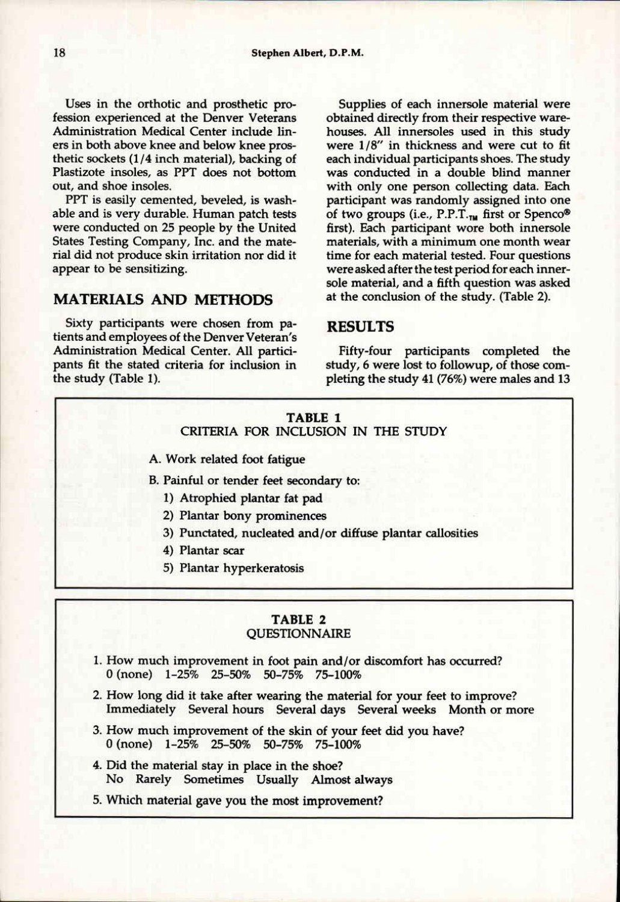Uses in the orthotic and prosthetic profession experienced at the Denver Veterans Administration Medical Center include liners in both above knee and below knee prosthetic sockets  $(1/4$  inch material), backing of Plastizote insoles, as PPT does not bottom out, and shoe insoles.

PPT is easily cemented, beveled, is washable and is very durable. Human patch tests were conducted on 25 people by the United States Testing Company, Inc. and the material did not produce skin irritation nor did it appear to be sensitizing.

# **MATERIALS AND METHODS**

Sixty participants were chosen from patients and employees of the Denver Veteran's Administration Medical Center. All participants fit the stated criteria for inclusion in the study (Table 1).

Supplies of each innersole material were obtained directly from their respective warehouses. All innersoles used in this study were 1/8" in thickness and were cut to fit each individual participants shoes. The study was conducted in a double blind manner with only one person collecting data. Each participant was randomly assigned into one of two groups (i.e., P.P.T.<sub>TM</sub> first or Spenco® first). Each participant wore both innersole materials, with a minimum one month wear time for each material tested. Four questions were asked after the test period for each innersole material, and a fifth question was asked at the conclusion of the study. (Table 2).

# **RESULTS**

Fifty-four participants completed the study, 6 were lost to followup, of those completing the study 41 (76%) were males and 13

#### **TABLE 1** CRITERIA FOR INCLUSION IN THE STUDY

- A. Work related foot fatigue
- B. Painful or tender feet secondary to:
	- 1) Atrophied plantar fat pad
	- 2) Plantar bony prominences
	- 3) Punctated, nucleated and/or diffuse plantar callosities
	- 4) Plantar scar
	- 5) Plantar hyperkeratosis

### TABLE 2 **QUESTIONNAIRE**

- 1. How much improvement in foot pain and/or discomfort has occurred? 0 (none) 1-25% 25-50% 50-75% 75-100%
- 2. How long did it take after wearing the material for your feet to improve? Immediately Several hours Several days Several weeks Month or more
- 3. How much improvement of the skin of your feet did you have? 0 (none) 1-25% 25-50% 50-75% 75-100%
- 4. Did the material stay in place in the shoe? No Rarely Sometimes Usually Almost always
- 5. Which material gave you the most improvement?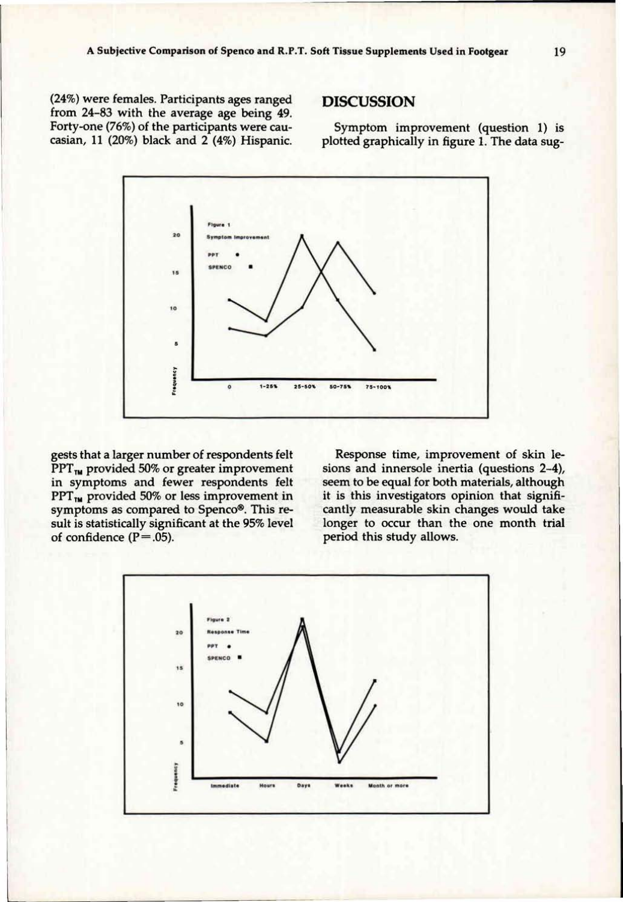**(24%)** were females. Participants ages ranged from **24**-83 with the average age being **49.**  Forty-one (76%) of the participants were **Cau**casian, **11 (20%)** black and **2 (4%)** Hispanic.

# **DISCUSSION**

Symptom improvement (question **1)** is plotted graphically in figure **1.** The data sug-



gests that a larger number of respondents felt **PPT**<sub>IM</sub> provided 50% or greater improvement in symptoms and fewer respondents felt **PPT<sub>IM</sub>** provided 50% or less improvement in symptoms as compared to Spenco®. This result is statistically significant at the **95%** level of confidence **(P = .05).** 

Response time, improvement of skin lesions and innersole inertia (questions **2-4),**  seem to be equal for both materials, although it is this investigators opinion that significantly measurable skin changes would take longer to occur than the one month trial period this study allows.

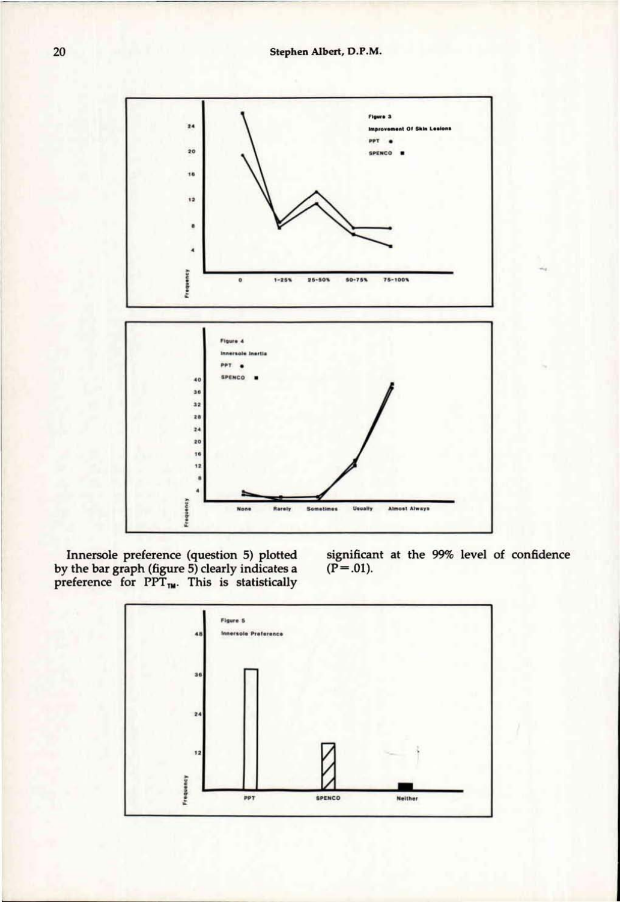

Innersole preference (question 5) plotted by the bar graph (figure 5) clearly indicates a preference for  $PPT_{TW}$ . This is statistically significant at the 99% level of confidence  $(P=.01)$ .